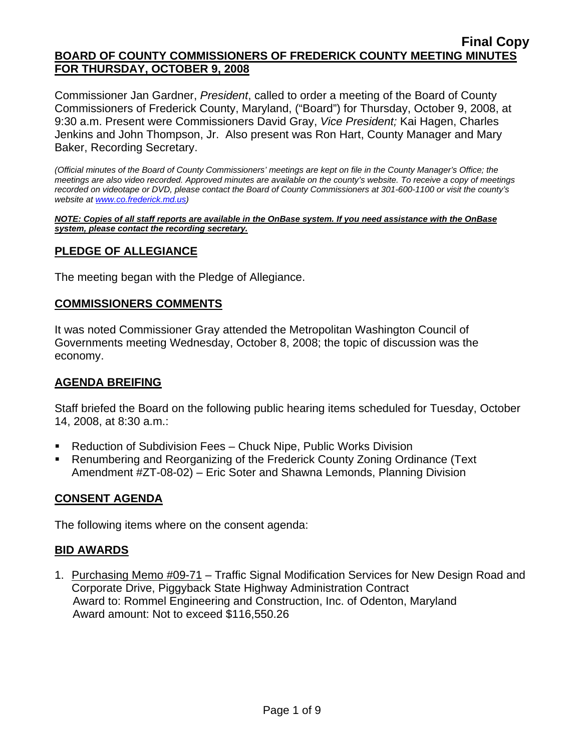Commissioner Jan Gardner, *President*, called to order a meeting of the Board of County Commissioners of Frederick County, Maryland, ("Board") for Thursday, October 9, 2008, at 9:30 a.m. Present were Commissioners David Gray, *Vice President;* Kai Hagen, Charles Jenkins and John Thompson, Jr. Also present was Ron Hart, County Manager and Mary Baker, Recording Secretary.

*(Official minutes of the Board of County Commissioners' meetings are kept on file in the County Manager's Office; the meetings are also video recorded. Approved minutes are available on the county's website. To receive a copy of meetings recorded on videotape or DVD, please contact the Board of County Commissioners at 301-600-1100 or visit the county's website at [www.co.frederick.md.us](http://www.co.frederick.md.us/))* 

*NOTE: Copies of all staff reports are available in the OnBase system. If you need assistance with the OnBase system, please contact the recording secretary.*

## **PLEDGE OF ALLEGIANCE**

The meeting began with the Pledge of Allegiance.

### **COMMISSIONERS COMMENTS**

It was noted Commissioner Gray attended the Metropolitan Washington Council of Governments meeting Wednesday, October 8, 2008; the topic of discussion was the economy.

## **AGENDA BREIFING**

Staff briefed the Board on the following public hearing items scheduled for Tuesday, October 14, 2008, at 8:30 a.m.:

- Reduction of Subdivision Fees Chuck Nipe, Public Works Division
- Renumbering and Reorganizing of the Frederick County Zoning Ordinance (Text Amendment #ZT-08-02) – Eric Soter and Shawna Lemonds, Planning Division

## **CONSENT AGENDA**

The following items where on the consent agenda:

#### **BID AWARDS**

1. Purchasing Memo #09-71 – Traffic Signal Modification Services for New Design Road and Corporate Drive, Piggyback State Highway Administration Contract Award to: Rommel Engineering and Construction, Inc. of Odenton, Maryland Award amount: Not to exceed \$116,550.26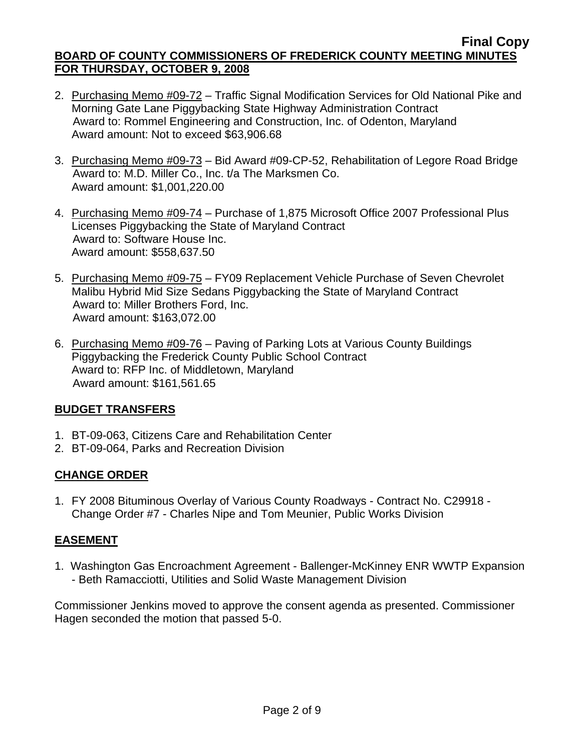- 2. Purchasing Memo #09-72 Traffic Signal Modification Services for Old National Pike and Morning Gate Lane Piggybacking State Highway Administration Contract Award to: Rommel Engineering and Construction, Inc. of Odenton, Maryland Award amount: Not to exceed \$63,906.68
- 3. Purchasing Memo #09-73 Bid Award #09-CP-52, Rehabilitation of Legore Road Bridge Award to: M.D. Miller Co., Inc. t/a The Marksmen Co. Award amount: \$1,001,220.00
- 4. Purchasing Memo #09-74 Purchase of 1,875 Microsoft Office 2007 Professional Plus Licenses Piggybacking the State of Maryland Contract Award to: Software House Inc. Award amount: \$558,637.50
- 5. Purchasing Memo #09-75 FY09 Replacement Vehicle Purchase of Seven Chevrolet Malibu Hybrid Mid Size Sedans Piggybacking the State of Maryland Contract Award to: Miller Brothers Ford, Inc. Award amount: \$163,072.00
- 6. Purchasing Memo #09-76 Paving of Parking Lots at Various County Buildings Piggybacking the Frederick County Public School Contract Award to: RFP Inc. of Middletown, Maryland Award amount: \$161,561.65

# **BUDGET TRANSFERS**

- 1. BT-09-063, Citizens Care and Rehabilitation Center
- 2. BT-09-064, Parks and Recreation Division

# **CHANGE ORDER**

1. FY 2008 Bituminous Overlay of Various County Roadways - Contract No. C29918 - Change Order #7 - Charles Nipe and Tom Meunier, Public Works Division

# **EASEMENT**

1. Washington Gas Encroachment Agreement - Ballenger-McKinney ENR WWTP Expansion - Beth Ramacciotti, Utilities and Solid Waste Management Division

Commissioner Jenkins moved to approve the consent agenda as presented. Commissioner Hagen seconded the motion that passed 5-0.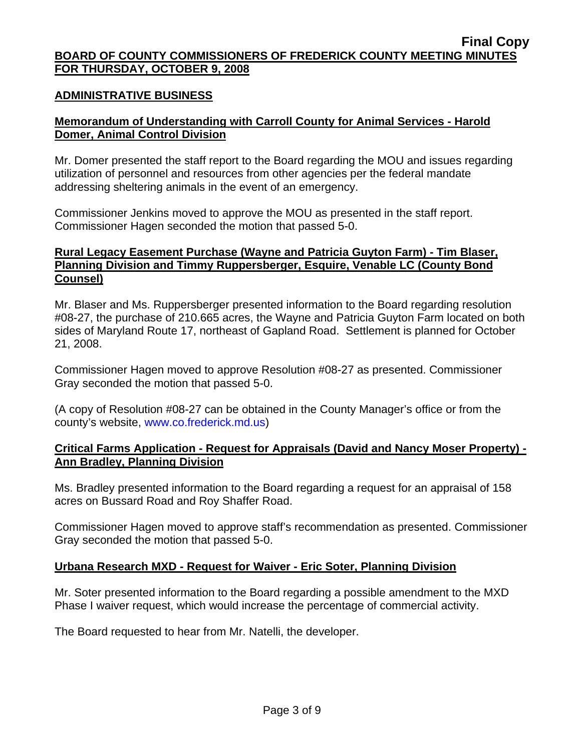## **ADMINISTRATIVE BUSINESS**

# **Memorandum of Understanding with Carroll County for Animal Services - Harold Domer, Animal Control Division**

Mr. Domer presented the staff report to the Board regarding the MOU and issues regarding utilization of personnel and resources from other agencies per the federal mandate addressing sheltering animals in the event of an emergency.

Commissioner Jenkins moved to approve the MOU as presented in the staff report. Commissioner Hagen seconded the motion that passed 5-0.

## **Rural Legacy Easement Purchase (Wayne and Patricia Guyton Farm) - Tim Blaser, Planning Division and Timmy Ruppersberger, Esquire, Venable LC (County Bond Counsel)**

Mr. Blaser and Ms. Ruppersberger presented information to the Board regarding resolution #08-27, the purchase of 210.665 acres, the Wayne and Patricia Guyton Farm located on both sides of Maryland Route 17, northeast of Gapland Road. Settlement is planned for October 21, 2008.

Commissioner Hagen moved to approve Resolution #08-27 as presented. Commissioner Gray seconded the motion that passed 5-0.

(A copy of Resolution #08-27 can be obtained in the County Manager's office or from the county's website, [www.co.frederick.md.us\)](www.co.frederick.md.us)

## **Critical Farms Application - Request for Appraisals (David and Nancy Moser Property) - Ann Bradley, Planning Division**

Ms. Bradley presented information to the Board regarding a request for an appraisal of 158 acres on Bussard Road and Roy Shaffer Road.

Commissioner Hagen moved to approve staff's recommendation as presented. Commissioner Gray seconded the motion that passed 5-0.

## **Urbana Research MXD - Request for Waiver - Eric Soter, Planning Division**

Mr. Soter presented information to the Board regarding a possible amendment to the MXD Phase I waiver request, which would increase the percentage of commercial activity.

The Board requested to hear from Mr. Natelli, the developer.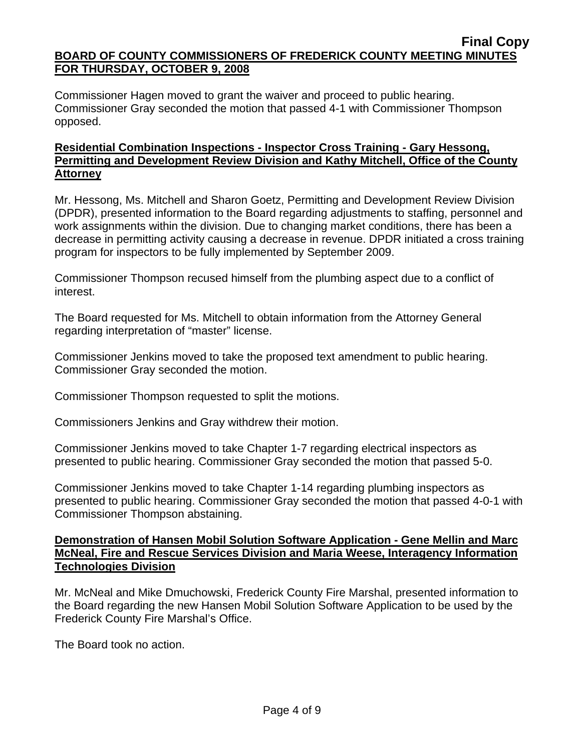Commissioner Hagen moved to grant the waiver and proceed to public hearing. Commissioner Gray seconded the motion that passed 4-1 with Commissioner Thompson opposed.

# **Residential Combination Inspections - Inspector Cross Training - Gary Hessong, Permitting and Development Review Division and Kathy Mitchell, Office of the County Attorney**

Mr. Hessong, Ms. Mitchell and Sharon Goetz, Permitting and Development Review Division (DPDR), presented information to the Board regarding adjustments to staffing, personnel and work assignments within the division. Due to changing market conditions, there has been a decrease in permitting activity causing a decrease in revenue. DPDR initiated a cross training program for inspectors to be fully implemented by September 2009.

Commissioner Thompson recused himself from the plumbing aspect due to a conflict of interest.

The Board requested for Ms. Mitchell to obtain information from the Attorney General regarding interpretation of "master" license.

Commissioner Jenkins moved to take the proposed text amendment to public hearing. Commissioner Gray seconded the motion.

Commissioner Thompson requested to split the motions.

Commissioners Jenkins and Gray withdrew their motion.

Commissioner Jenkins moved to take Chapter 1-7 regarding electrical inspectors as presented to public hearing. Commissioner Gray seconded the motion that passed 5-0.

Commissioner Jenkins moved to take Chapter 1-14 regarding plumbing inspectors as presented to public hearing. Commissioner Gray seconded the motion that passed 4-0-1 with Commissioner Thompson abstaining.

## **Demonstration of Hansen Mobil Solution Software Application - Gene Mellin and Marc McNeal, Fire and Rescue Services Division and Maria Weese, Interagency Information Technologies Division**

Mr. McNeal and Mike Dmuchowski, Frederick County Fire Marshal, presented information to the Board regarding the new Hansen Mobil Solution Software Application to be used by the Frederick County Fire Marshal's Office.

The Board took no action.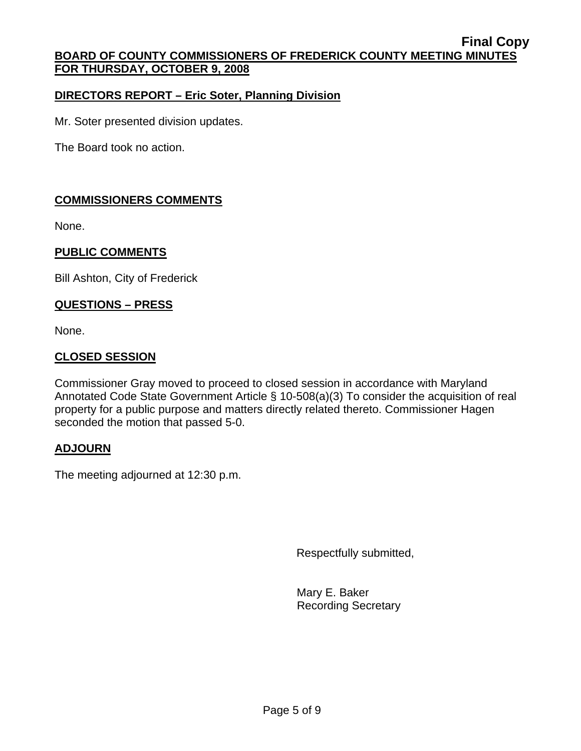## **DIRECTORS REPORT – Eric Soter, Planning Division**

Mr. Soter presented division updates.

The Board took no action.

## **COMMISSIONERS COMMENTS**

None.

## **PUBLIC COMMENTS**

Bill Ashton, City of Frederick

### **QUESTIONS – PRESS**

None.

### **CLOSED SESSION**

Commissioner Gray moved to proceed to closed session in accordance with Maryland Annotated Code State Government Article § 10-508(a)(3) To consider the acquisition of real property for a public purpose and matters directly related thereto. Commissioner Hagen seconded the motion that passed 5-0.

## **ADJOURN**

The meeting adjourned at 12:30 p.m.

Respectfully submitted,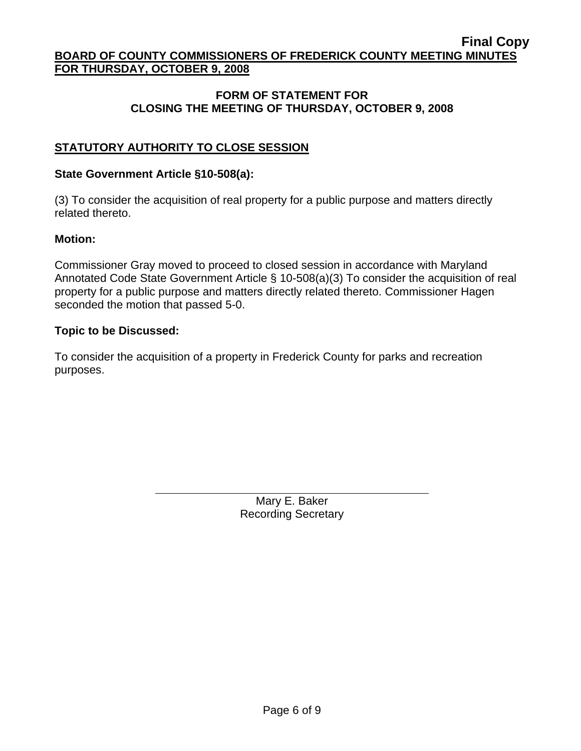## **FORM OF STATEMENT FOR CLOSING THE MEETING OF THURSDAY, OCTOBER 9, 2008**

# **STATUTORY AUTHORITY TO CLOSE SESSION**

#### **State Government Article §10-508(a):**

 $\overline{a}$ 

(3) To consider the acquisition of real property for a public purpose and matters directly related thereto.

### **Motion:**

Commissioner Gray moved to proceed to closed session in accordance with Maryland Annotated Code State Government Article § 10-508(a)(3) To consider the acquisition of real property for a public purpose and matters directly related thereto. Commissioner Hagen seconded the motion that passed 5-0.

#### **Topic to be Discussed:**

To consider the acquisition of a property in Frederick County for parks and recreation purposes.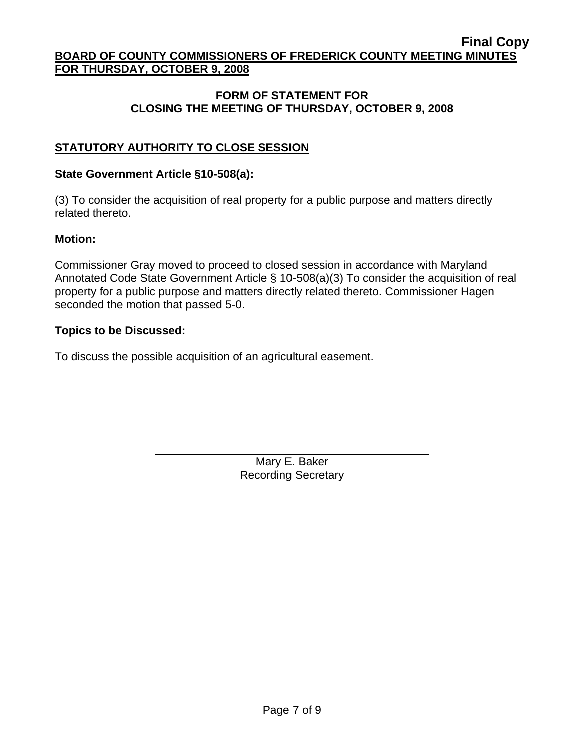## **FORM OF STATEMENT FOR CLOSING THE MEETING OF THURSDAY, OCTOBER 9, 2008**

# **STATUTORY AUTHORITY TO CLOSE SESSION**

### **State Government Article §10-508(a):**

 $\overline{a}$ 

(3) To consider the acquisition of real property for a public purpose and matters directly related thereto.

### **Motion:**

Commissioner Gray moved to proceed to closed session in accordance with Maryland Annotated Code State Government Article § 10-508(a)(3) To consider the acquisition of real property for a public purpose and matters directly related thereto. Commissioner Hagen seconded the motion that passed 5-0.

### **Topics to be Discussed:**

To discuss the possible acquisition of an agricultural easement.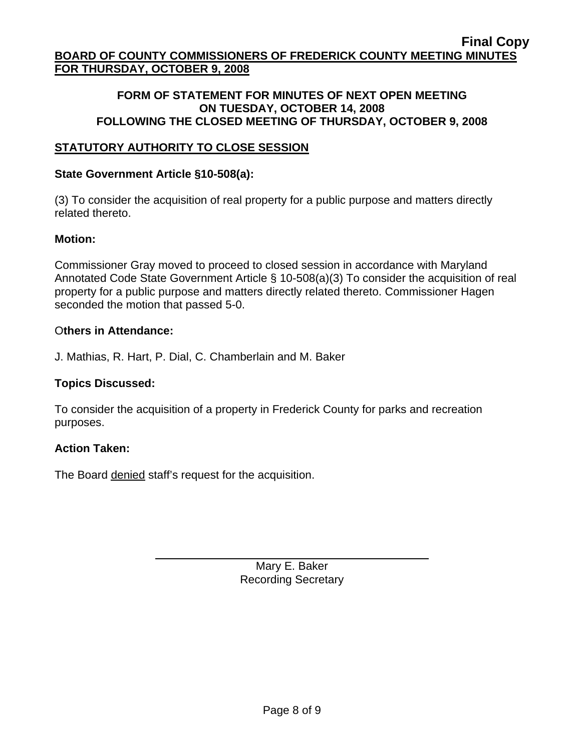#### **FORM OF STATEMENT FOR MINUTES OF NEXT OPEN MEETING ON TUESDAY, OCTOBER 14, 2008 FOLLOWING THE CLOSED MEETING OF THURSDAY, OCTOBER 9, 2008**

# **STATUTORY AUTHORITY TO CLOSE SESSION**

### **State Government Article §10-508(a):**

(3) To consider the acquisition of real property for a public purpose and matters directly related thereto.

### **Motion:**

Commissioner Gray moved to proceed to closed session in accordance with Maryland Annotated Code State Government Article § 10-508(a)(3) To consider the acquisition of real property for a public purpose and matters directly related thereto. Commissioner Hagen seconded the motion that passed 5-0.

### O**thers in Attendance:**

J. Mathias, R. Hart, P. Dial, C. Chamberlain and M. Baker

## **Topics Discussed:**

To consider the acquisition of a property in Frederick County for parks and recreation purposes.

#### **Action Taken:**

The Board denied staff's request for the acquisition.

 $\overline{a}$